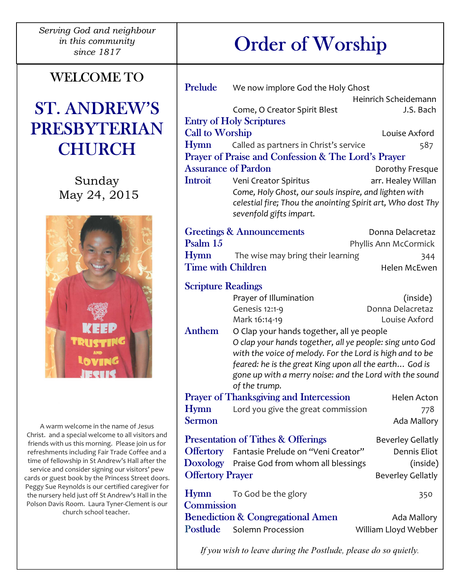Serving God and neighbour in this community

# WELCOME TO

# ST. ANDREW'S PRESBYTERIAN **CHURCH**

Sunday May 24, 2015



A warm welcome in the name of Jesus Christ. and a special welcome to all visitors and friends with us this morning. Please join us for refreshments including Fair Trade Coffee and a time of fellowship in St Andrew's Hall after the service and consider signing our visitors' pew cards or guest book by the Princess Street doors. Peggy Sue Reynolds is our certified caregiver for the nursery held just off St Andrew's Hall in the Polson Davis Room. Laura Tyner-Clement is our church school teacher.

| $\sim$ $\alpha$ is not not at $\alpha$<br>his community | <b>Order of Worship</b> |
|---------------------------------------------------------|-------------------------|
| since 1817                                              |                         |

| <b>Prelude</b>                                                                    | We now implore God the Holy Ghost<br>Heinrich Scheidemann                                                                                                                                                                                                                                               |                                                                                  |  |  |
|-----------------------------------------------------------------------------------|---------------------------------------------------------------------------------------------------------------------------------------------------------------------------------------------------------------------------------------------------------------------------------------------------------|----------------------------------------------------------------------------------|--|--|
|                                                                                   | Come, O Creator Spirit Blest<br><b>Entry of Holy Scriptures</b>                                                                                                                                                                                                                                         | J.S. Bach                                                                        |  |  |
| <b>Call to Worship</b><br><b>Hymn</b>                                             | Called as partners in Christ's service                                                                                                                                                                                                                                                                  | Louise Axford<br>587                                                             |  |  |
| Prayer of Praise and Confession & The Lord's Prayer<br><b>Assurance of Pardon</b> |                                                                                                                                                                                                                                                                                                         |                                                                                  |  |  |
| Introit                                                                           | Veni Creator Spiritus<br>Come, Holy Ghost, our souls inspire, and lighten with<br>celestial fire; Thou the anointing Spirit art, Who dost Thy<br>sevenfold gifts impart.                                                                                                                                | Dorothy Fresque<br>arr. Healey Willan                                            |  |  |
| Psalm 15                                                                          | <b>Greetings &amp; Announcements</b>                                                                                                                                                                                                                                                                    | Donna Delacretaz<br>Phyllis Ann McCormick                                        |  |  |
| <b>Hymn</b>                                                                       | The wise may bring their learning                                                                                                                                                                                                                                                                       | 344                                                                              |  |  |
| <b>Time with Children</b>                                                         |                                                                                                                                                                                                                                                                                                         | Helen McEwen                                                                     |  |  |
| <b>Scripture Readings</b>                                                         |                                                                                                                                                                                                                                                                                                         |                                                                                  |  |  |
|                                                                                   | Prayer of Illumination                                                                                                                                                                                                                                                                                  | (inside)                                                                         |  |  |
|                                                                                   | Genesis 12:1-9                                                                                                                                                                                                                                                                                          | Donna Delacretaz                                                                 |  |  |
|                                                                                   | Mark 16:14-19                                                                                                                                                                                                                                                                                           | Louise Axford                                                                    |  |  |
| Anthem                                                                            | O Clap your hands together, all ye people<br>O clap your hands together, all ye people: sing unto God<br>with the voice of melody. For the Lord is high and to be<br>feared: he is the great King upon all the earth God is<br>gone up with a merry noise: and the Lord with the sound<br>of the trump. |                                                                                  |  |  |
|                                                                                   | <b>Prayer of Thanksgiving and Intercession</b>                                                                                                                                                                                                                                                          | Helen Acton                                                                      |  |  |
|                                                                                   | <b>Hymn</b> Lord you give the great commission                                                                                                                                                                                                                                                          | 778                                                                              |  |  |
| <b>Sermon</b>                                                                     |                                                                                                                                                                                                                                                                                                         | Ada Mallory                                                                      |  |  |
| <b>Offertory Prayer</b>                                                           | <b>Presentation of Tithes &amp; Offerings</b><br>Offertory Fantasie Prelude on "Veni Creator"<br>Doxology Praise God from whom all blessings                                                                                                                                                            | <b>Beverley Gellatly</b><br>Dennis Eliot<br>(inside)<br><b>Beverley Gellatly</b> |  |  |
| Hymn                                                                              | To God be the glory                                                                                                                                                                                                                                                                                     | 350                                                                              |  |  |
| <b>Commission</b>                                                                 |                                                                                                                                                                                                                                                                                                         |                                                                                  |  |  |
| <b>Postlude</b>                                                                   | <b>Benediction &amp; Congregational Amen</b><br>Solemn Procession                                                                                                                                                                                                                                       | Ada Mallory<br>William Lloyd Webber                                              |  |  |

If you wish to leave during the Postlude, please do so quietly.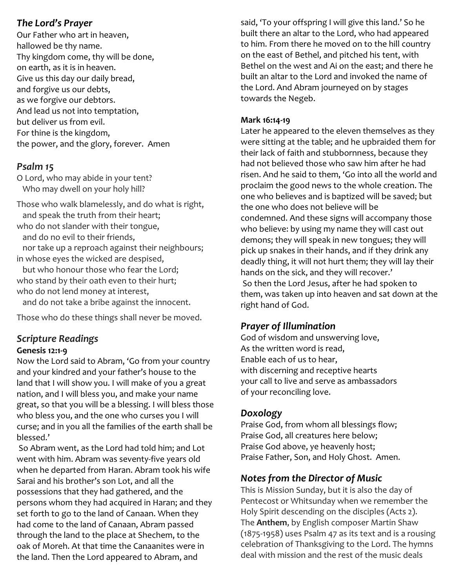#### The Lord's Prayer

Our Father who art in heaven, hallowed be thy name. Thy kingdom come, thy will be done, on earth, as it is in heaven. Give us this day our daily bread, and forgive us our debts, as we forgive our debtors. And lead us not into temptation, but deliver us from evil. For thine is the kingdom, the power, and the glory, forever. Amen

# Psalm 15

O Lord, who may abide in your tent? Who may dwell on your holy hill?

Those who walk blamelessly, and do what is right, and speak the truth from their heart; who do not slander with their tongue,

and do no evil to their friends,

 nor take up a reproach against their neighbours; in whose eyes the wicked are despised,

 but who honour those who fear the Lord; who stand by their oath even to their hurt; who do not lend money at interest,

and do not take a bribe against the innocent.

Those who do these things shall never be moved.

# Scripture Readings

## Genesis 12:1-9

Now the Lord said to Abram, 'Go from your country and your kindred and your father's house to the land that I will show you. I will make of you a great nation, and I will bless you, and make your name great, so that you will be a blessing. I will bless those who bless you, and the one who curses you I will curse; and in you all the families of the earth shall be blessed.'

 So Abram went, as the Lord had told him; and Lot went with him. Abram was seventy-five years old when he departed from Haran. Abram took his wife Sarai and his brother's son Lot, and all the possessions that they had gathered, and the persons whom they had acquired in Haran; and they set forth to go to the land of Canaan. When they had come to the land of Canaan, Abram passed through the land to the place at Shechem, to the oak of Moreh. At that time the Canaanites were in the land. Then the Lord appeared to Abram, and

said, 'To your offspring I will give this land.' So he built there an altar to the Lord, who had appeared to him. From there he moved on to the hill country on the east of Bethel, and pitched his tent, with Bethel on the west and Ai on the east; and there he built an altar to the Lord and invoked the name of the Lord. And Abram journeyed on by stages towards the Negeb.

#### Mark 16:14-19

Later he appeared to the eleven themselves as they were sitting at the table; and he upbraided them for their lack of faith and stubbornness, because they had not believed those who saw him after he had risen. And he said to them, 'Go into all the world and proclaim the good news to the whole creation. The one who believes and is baptized will be saved; but the one who does not believe will be condemned. And these signs will accompany those who believe: by using my name they will cast out demons; they will speak in new tongues; they will pick up snakes in their hands, and if they drink any deadly thing, it will not hurt them; they will lay their hands on the sick, and they will recover.' So then the Lord Jesus, after he had spoken to them, was taken up into heaven and sat down at the right hand of God.

## Prayer of Illumination

God of wisdom and unswerving love, As the written word is read, Enable each of us to hear, with discerning and receptive hearts your call to live and serve as ambassadors of your reconciling love.

# Doxology

Praise God, from whom all blessings flow; Praise God, all creatures here below; Praise God above, ye heavenly host; Praise Father, Son, and Holy Ghost. Amen.

## Notes from the Director of Music

This is Mission Sunday, but it is also the day of Pentecost or Whitsunday when we remember the Holy Spirit descending on the disciples (Acts 2). The **Anthem**, by English composer Martin Shaw (1875-1958) uses Psalm 47 as its text and is a rousing celebration of Thanksgiving to the Lord. The hymns deal with mission and the rest of the music deals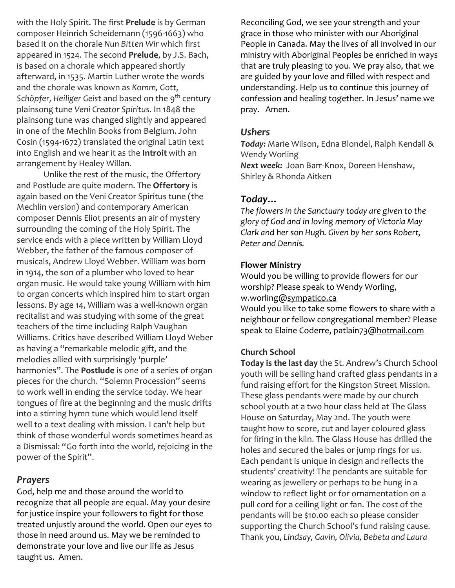with the Holy Spirit. The first Prelude is by German composer Heinrich Scheidemann (1596-1663) who based it on the chorale Nun Bitten Wir which first appeared in 1524. The second Prelude, by J.S. Bach, is based on a chorale which appeared shortly afterward, in 1535. Martin Luther wrote the words and the chorale was known as Komm, Gott, Schöpfer, Heiliger Geist and based on the 9<sup>th</sup> century plainsong tune Veni Creator Spiritus. In 1848 the plainsong tune was changed slightly and appeared in one of the Mechlin Books from Belgium. John Cosin (1594-1672) translated the original Latin text into English and we hear it as the Introit with an arrangement by Healey Willan.

 Unlike the rest of the music, the Offertory and Postlude are quite modern. The Offertory is again based on the Veni Creator Spiritus tune (the Mechlin version) and contemporary American composer Dennis Eliot presents an air of mystery surrounding the coming of the Holy Spirit. The service ends with a piece written by William Lloyd Webber, the father of the famous composer of musicals, Andrew Lloyd Webber. William was born in 1914, the son of a plumber who loved to hear organ music. He would take young William with him to organ concerts which inspired him to start organ lessons. By age 14, William was a well-known organ recitalist and was studying with some of the great teachers of the time including Ralph Vaughan Williams. Critics have described William Lloyd Weber as having a "remarkable melodic gift, and the melodies allied with surprisingly 'purple' harmonies". The Postlude is one of a series of organ pieces for the church. "Solemn Procession" seems to work well in ending the service today. We hear tongues of fire at the beginning and the music drifts into a stirring hymn tune which would lend itself well to a text dealing with mission. I can't help but think of those wonderful words sometimes heard as a Dismissal: "Go forth into the world, rejoicing in the power of the Spirit".

#### Prayers

God, help me and those around the world to recognize that all people are equal. May your desire for justice inspire your followers to fight for those treated unjustly around the world. Open our eyes to those in need around us. May we be reminded to demonstrate your love and live our life as Jesus taught us. Amen.

Reconciling God, we see your strength and your grace in those who minister with our Aboriginal People in Canada. May the lives of all involved in our ministry with Aboriginal Peoples be enriched in ways that are truly pleasing to you. We pray also, that we are guided by your love and filled with respect and understanding. Help us to continue this journey of confession and healing together. In Jesus' name we pray. Amen.

#### Ushers

Today: Marie Wilson, Edna Blondel, Ralph Kendall & Wendy Worling Next week: Joan Barr-Knox, Doreen Henshaw, Shirley & Rhonda Aitken

## Today…

The flowers in the Sanctuary today are given to the glory of God and in loving memory of Victoria May Clark and her son Hugh. Given by her sons Robert, Peter and Dennis.

#### Flower Ministry

Would you be willing to provide flowers for our worship? Please speak to Wendy Worling, w.worling@sympatico.ca

Would you like to take some flowers to share with a neighbour or fellow congregational member? Please speak to Elaine Coderre, patlain73@hotmail.com

## Church School

Today is the last day the St. Andrew's Church School youth will be selling hand crafted glass pendants in a fund raising effort for the Kingston Street Mission. These glass pendants were made by our church school youth at a two hour class held at The Glass House on Saturday, May 2nd. The youth were taught how to score, cut and layer coloured glass for firing in the kiln. The Glass House has drilled the holes and secured the bales or jump rings for us. Each pendant is unique in design and reflects the students' creativity! The pendants are suitable for wearing as jewellery or perhaps to be hung in a window to reflect light or for ornamentation on a pull cord for a ceiling light or fan. The cost of the pendants will be \$10.00 each so please consider supporting the Church School's fund raising cause. Thank you, Lindsay, Gavin, Olivia, Bebeta and Laura